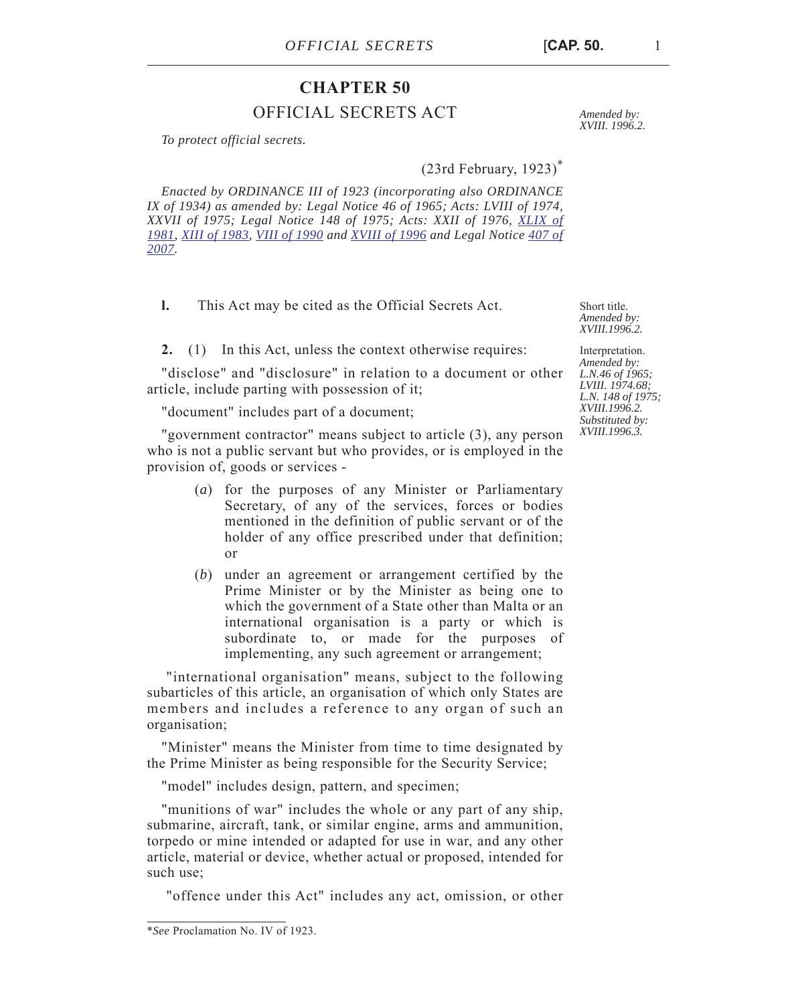## **CHAPTER 50**

OFFICIAL SECRETS ACT

*To protect official secrets.*

(23rd February, 1923)\*

*Enacted by ORDINANCE III of 1923 (incorporating also ORDINANCE IX of 1934) as amended by: Legal Notice 46 of 1965; Acts: LVIII of 1974, XXVII of 1975; Legal Notice 148 of 1975; Acts: XXII of 1976, [XLIX of](https://legislation.mt/eli/act/1981/49/eng/pdf) [1981](https://legislation.mt/eli/act/1981/49/eng/pdf), [XIII of 1983,](https://legislation.mt/eli/act/1983/13/eng/pdf) [VIII of 1990](https://legislation.mt/eli/act/1990/8/eng/pdf) and [XVIII of 1996](https://legislation.mt/eli/act/1996/18/eng/pdf) and Legal Notice [407 of](https://legislation.mt/eli/ln/2007/407/eng/pdf) [2007](https://legislation.mt/eli/ln/2007/407/eng/pdf).*

**l.** This Act may be cited as the Official Secrets Act.

**2.** (1) In this Act, unless the context otherwise requires:

"disclose" and "disclosure" in relation to a document or other article, include parting with possession of it;

"document" includes part of a document;

"government contractor" means subject to article (3), any person who is not a public servant but who provides, or is employed in the provision of, goods or services -

- (*a*) for the purposes of any Minister or Parliamentary Secretary, of any of the services, forces or bodies mentioned in the definition of public servant or of the holder of any office prescribed under that definition; or
- (*b*) under an agreement or arrangement certified by the Prime Minister or by the Minister as being one to which the government of a State other than Malta or an international organisation is a party or which is subordinate to, or made for the purposes of implementing, any such agreement or arrangement;

 "international organisation" means, subject to the following subarticles of this article, an organisation of which only States are members and includes a reference to any organ of such an organisation;

"Minister" means the Minister from time to time designated by the Prime Minister as being responsible for the Security Service;

"model" includes design, pattern, and specimen;

"munitions of war" includes the whole or any part of any ship, submarine, aircraft, tank, or similar engine, arms and ammunition, torpedo or mine intended or adapted for use in war, and any other article, material or device, whether actual or proposed, intended for such use;

"offence under this Act" includes any act, omission, or other

Short title. *Amended by: XVIII.1996.2.*

*Amended by: XVIII. 1996.2.*

Interpretation. *Amended by: L.N.46 of 1965; LVIII. 1974.68; L.N. 148 of 1975; XVIII.1996.2. Substituted by: XVIII.1996.3.*

<sup>\*</sup>*See* Proclamation No. IV of 1923.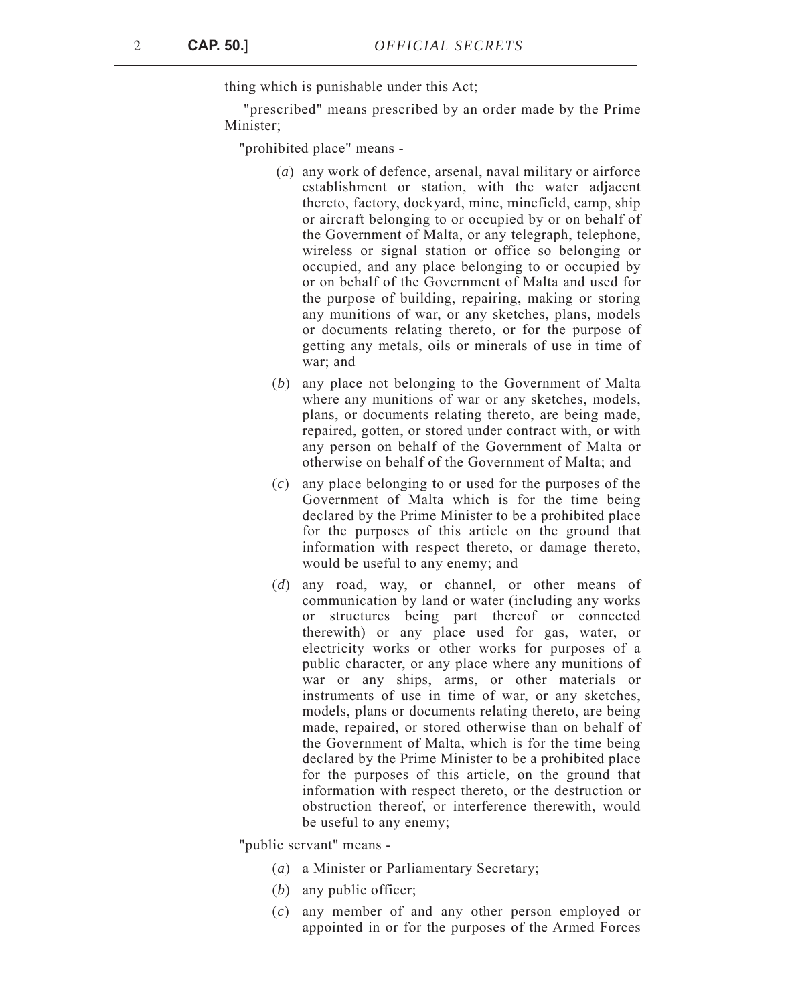thing which is punishable under this Act;

 "prescribed" means prescribed by an order made by the Prime Minister;

"prohibited place" means -

- (*a*) any work of defence, arsenal, naval military or airforce establishment or station, with the water adjacent thereto, factory, dockyard, mine, minefield, camp, ship or aircraft belonging to or occupied by or on behalf of the Government of Malta, or any telegraph, telephone, wireless or signal station or office so belonging or occupied, and any place belonging to or occupied by or on behalf of the Government of Malta and used for the purpose of building, repairing, making or storing any munitions of war, or any sketches, plans, models or documents relating thereto, or for the purpose of getting any metals, oils or minerals of use in time of war; and
- (*b*) any place not belonging to the Government of Malta where any munitions of war or any sketches, models, plans, or documents relating thereto, are being made, repaired, gotten, or stored under contract with, or with any person on behalf of the Government of Malta or otherwise on behalf of the Government of Malta; and
- (*c*) any place belonging to or used for the purposes of the Government of Malta which is for the time being declared by the Prime Minister to be a prohibited place for the purposes of this article on the ground that information with respect thereto, or damage thereto, would be useful to any enemy; and
- (*d*) any road, way, or channel, or other means of communication by land or water (including any works or structures being part thereof or connected therewith) or any place used for gas, water, or electricity works or other works for purposes of a public character, or any place where any munitions of war or any ships, arms, or other materials or instruments of use in time of war, or any sketches, models, plans or documents relating thereto, are being made, repaired, or stored otherwise than on behalf of the Government of Malta, which is for the time being declared by the Prime Minister to be a prohibited place for the purposes of this article, on the ground that information with respect thereto, or the destruction or obstruction thereof, or interference therewith, would be useful to any enemy;

"public servant" means -

- (*a*) a Minister or Parliamentary Secretary;
- (*b*) any public officer;
- (*c*) any member of and any other person employed or appointed in or for the purposes of the Armed Forces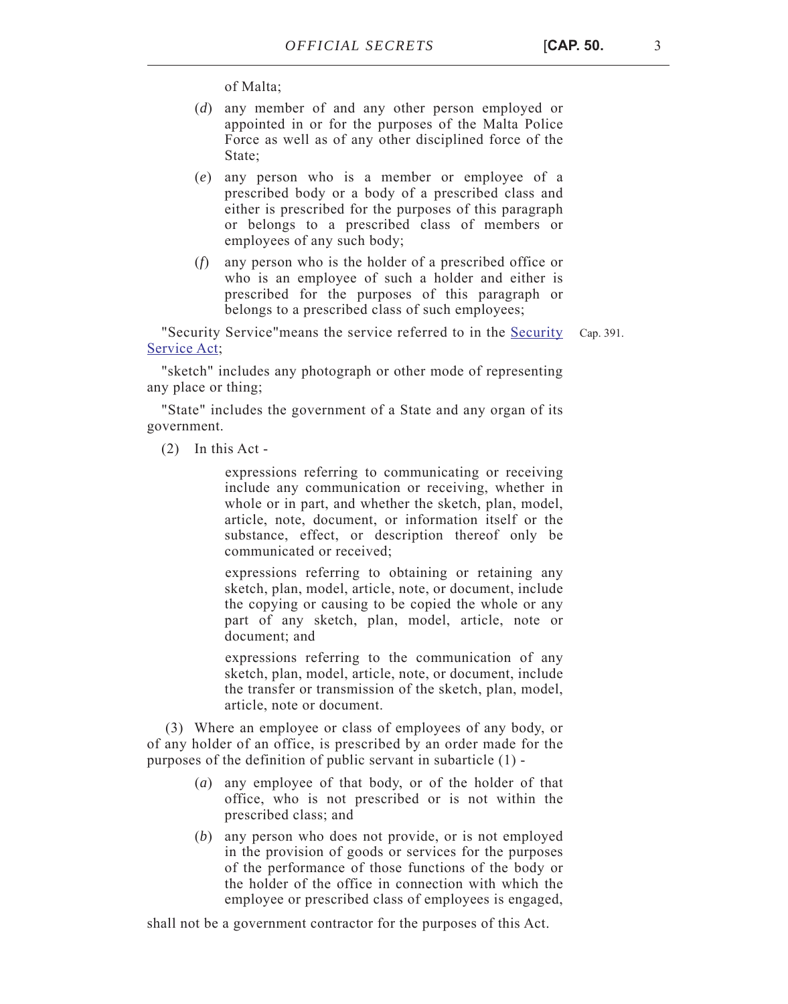- (*d*) any member of and any other person employed or appointed in or for the purposes of the Malta Police Force as well as of any other disciplined force of the State;
- (*e*) any person who is a member or employee of a prescribed body or a body of a prescribed class and either is prescribed for the purposes of this paragraph or belongs to a prescribed class of members or employees of any such body;
- (*f*) any person who is the holder of a prescribed office or who is an employee of such a holder and either is prescribed for the purposes of this paragraph or belongs to a prescribed class of such employees;

"Security Service"means the service referred to in the [Security](https://legislation.mt/eli/cap/391/eng/pdf) Cap. 391. [Service Act;](https://legislation.mt/eli/cap/391/eng/pdf)

"sketch" includes any photograph or other mode of representing any place or thing;

"State" includes the government of a State and any organ of its government.

(2) In this Act -

 expressions referring to communicating or receiving include any communication or receiving, whether in whole or in part, and whether the sketch, plan, model, article, note, document, or information itself or the substance, effect, or description thereof only be communicated or received;

 expressions referring to obtaining or retaining any sketch, plan, model, article, note, or document, include the copying or causing to be copied the whole or any part of any sketch, plan, model, article, note or document; and

 expressions referring to the communication of any sketch, plan, model, article, note, or document, include the transfer or transmission of the sketch, plan, model, article, note or document.

 (3) Where an employee or class of employees of any body, or of any holder of an office, is prescribed by an order made for the purposes of the definition of public servant in subarticle (1) -

- (*a*) any employee of that body, or of the holder of that office, who is not prescribed or is not within the prescribed class; and
- (*b*) any person who does not provide, or is not employed in the provision of goods or services for the purposes of the performance of those functions of the body or the holder of the office in connection with which the employee or prescribed class of employees is engaged,

shall not be a government contractor for the purposes of this Act.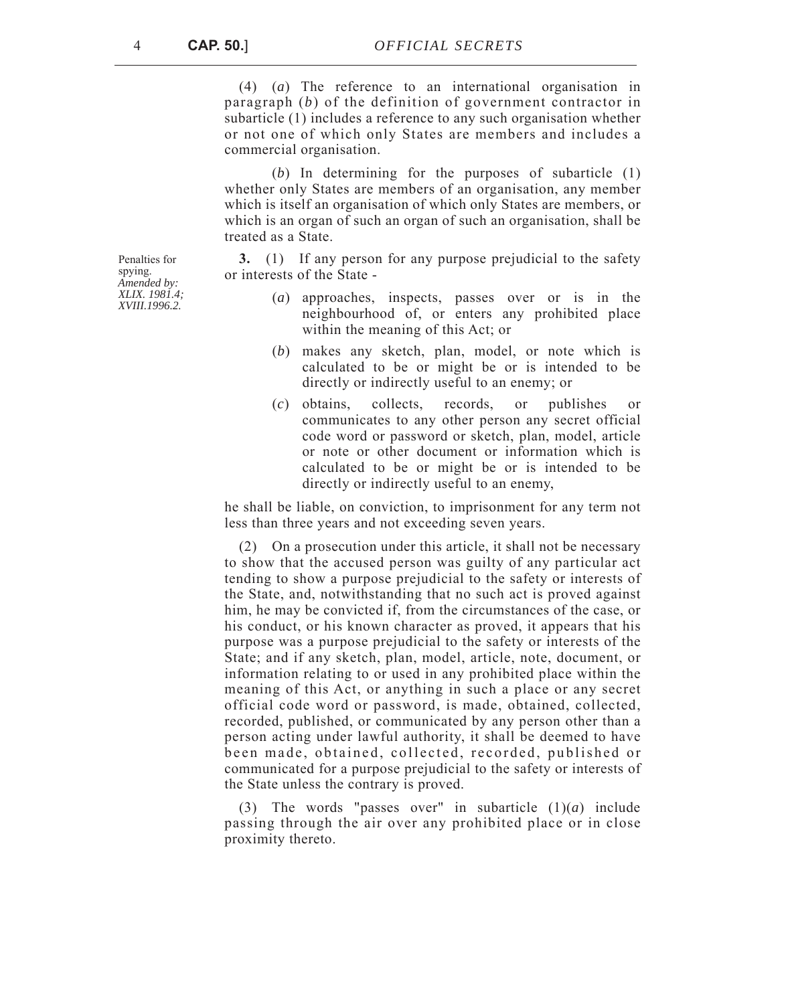(4) (*a*) The reference to an international organisation in paragraph (*b*) of the definition of government contractor in subarticle (1) includes a reference to any such organisation whether or not one of which only States are members and includes a commercial organisation.

(*b*) In determining for the purposes of subarticle (1) whether only States are members of an organisation, any member which is itself an organisation of which only States are members, or which is an organ of such an organ of such an organisation, shall be treated as a State.

**3.** (1) If any person for any purpose prejudicial to the safety or interests of the State -

- (*a*) approaches, inspects, passes over or is in the neighbourhood of, or enters any prohibited place within the meaning of this Act; or
- (*b*) makes any sketch, plan, model, or note which is calculated to be or might be or is intended to be directly or indirectly useful to an enemy; or
- (*c*) obtains, collects, records, or publishes or communicates to any other person any secret official code word or password or sketch, plan, model, article or note or other document or information which is calculated to be or might be or is intended to be directly or indirectly useful to an enemy,

he shall be liable, on conviction, to imprisonment for any term not less than three years and not exceeding seven years.

(2) On a prosecution under this article, it shall not be necessary to show that the accused person was guilty of any particular act tending to show a purpose prejudicial to the safety or interests of the State, and, notwithstanding that no such act is proved against him, he may be convicted if, from the circumstances of the case, or his conduct, or his known character as proved, it appears that his purpose was a purpose prejudicial to the safety or interests of the State; and if any sketch, plan, model, article, note, document, or information relating to or used in any prohibited place within the meaning of this Act, or anything in such a place or any secret official code word or password, is made, obtained, collected, recorded, published, or communicated by any person other than a person acting under lawful authority, it shall be deemed to have been made, obtained, collected, recorded, published or communicated for a purpose prejudicial to the safety or interests of the State unless the contrary is proved.

(3) The words "passes over" in subarticle (1)(*a*) include passing through the air over any prohibited place or in close proximity thereto.

Penalties for spying. *Amended by: XLIX. 1981.4; XVIII.1996.2.*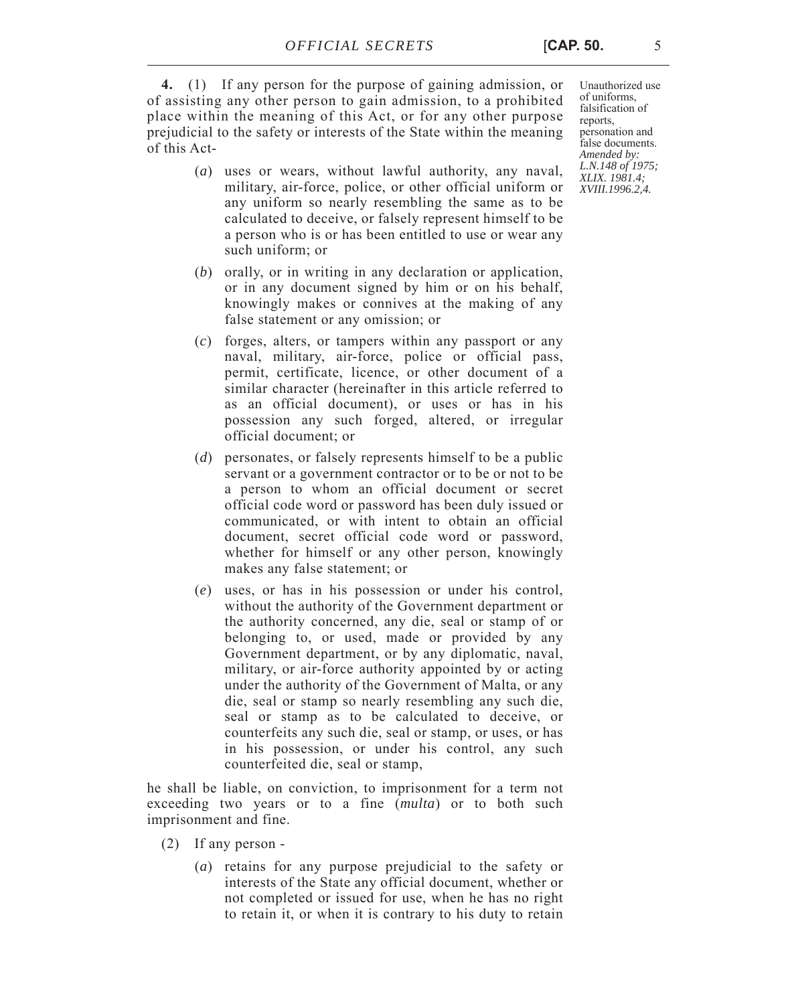**4.** (1) If any person for the purpose of gaining admission, or of assisting any other person to gain admission, to a prohibited place within the meaning of this Act, or for any other purpose prejudicial to the safety or interests of the State within the meaning of this Act-

- (*a*) uses or wears, without lawful authority, any naval, military, air-force, police, or other official uniform or any uniform so nearly resembling the same as to be calculated to deceive, or falsely represent himself to be a person who is or has been entitled to use or wear any such uniform; or
- (*b*) orally, or in writing in any declaration or application, or in any document signed by him or on his behalf, knowingly makes or connives at the making of any false statement or any omission; or
- (*c*) forges, alters, or tampers within any passport or any naval, military, air-force, police or official pass, permit, certificate, licence, or other document of a similar character (hereinafter in this article referred to as an official document), or uses or has in his possession any such forged, altered, or irregular official document; or
- (*d*) personates, or falsely represents himself to be a public servant or a government contractor or to be or not to be a person to whom an official document or secret official code word or password has been duly issued or communicated, or with intent to obtain an official document, secret official code word or password, whether for himself or any other person, knowingly makes any false statement; or
- (*e*) uses, or has in his possession or under his control, without the authority of the Government department or the authority concerned, any die, seal or stamp of or belonging to, or used, made or provided by any Government department, or by any diplomatic, naval, military, or air-force authority appointed by or acting under the authority of the Government of Malta, or any die, seal or stamp so nearly resembling any such die, seal or stamp as to be calculated to deceive, or counterfeits any such die, seal or stamp, or uses, or has in his possession, or under his control, any such counterfeited die, seal or stamp,

he shall be liable, on conviction, to imprisonment for a term not exceeding two years or to a fine (*multa*) or to both such imprisonment and fine.

- (2) If any person
	- (*a*) retains for any purpose prejudicial to the safety or interests of the State any official document, whether or not completed or issued for use, when he has no right to retain it, or when it is contrary to his duty to retain

Unauthorized use of uniforms, falsification of reports, personation and false documents. *Amended by: L.N.148 of 1975; XLIX. 1981.4; XVIII.1996.2,4.*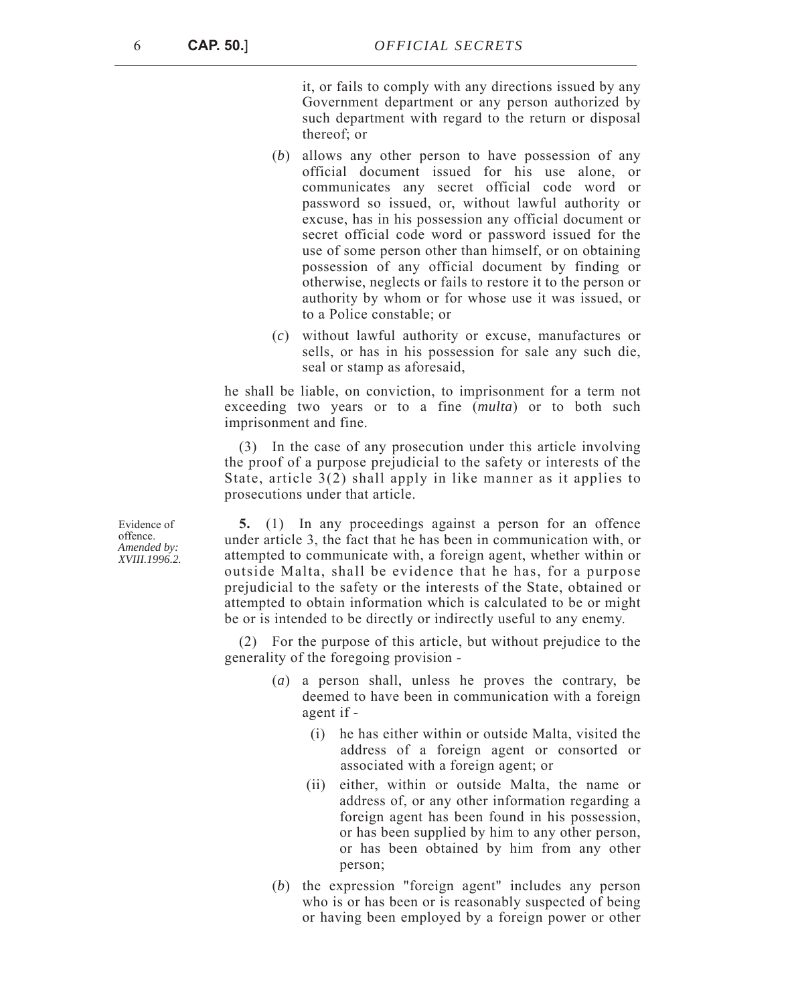it, or fails to comply with any directions issued by any Government department or any person authorized by such department with regard to the return or disposal thereof; or

- (*b*) allows any other person to have possession of any official document issued for his use alone, or communicates any secret official code word or password so issued, or, without lawful authority or excuse, has in his possession any official document or secret official code word or password issued for the use of some person other than himself, or on obtaining possession of any official document by finding or otherwise, neglects or fails to restore it to the person or authority by whom or for whose use it was issued, or to a Police constable; or
- (*c*) without lawful authority or excuse, manufactures or sells, or has in his possession for sale any such die, seal or stamp as aforesaid,

he shall be liable, on conviction, to imprisonment for a term not exceeding two years or to a fine (*multa*) or to both such imprisonment and fine.

(3) In the case of any prosecution under this article involving the proof of a purpose prejudicial to the safety or interests of the State, article 3(2) shall apply in like manner as it applies to prosecutions under that article.

**5.** (1) In any proceedings against a person for an offence under article 3, the fact that he has been in communication with, or attempted to communicate with, a foreign agent, whether within or outside Malta, shall be evidence that he has, for a purpose prejudicial to the safety or the interests of the State, obtained or attempted to obtain information which is calculated to be or might be or is intended to be directly or indirectly useful to any enemy.

(2) For the purpose of this article, but without prejudice to the generality of the foregoing provision -

- (*a*) a person shall, unless he proves the contrary, be deemed to have been in communication with a foreign agent if -
	- (i) he has either within or outside Malta, visited the address of a foreign agent or consorted or associated with a foreign agent; or
	- (ii) either, within or outside Malta, the name or address of, or any other information regarding a foreign agent has been found in his possession, or has been supplied by him to any other person, or has been obtained by him from any other person;
- (*b*) the expression "foreign agent" includes any person who is or has been or is reasonably suspected of being or having been employed by a foreign power or other

Evidence of offence. *Amended by: XVIII.1996.2.*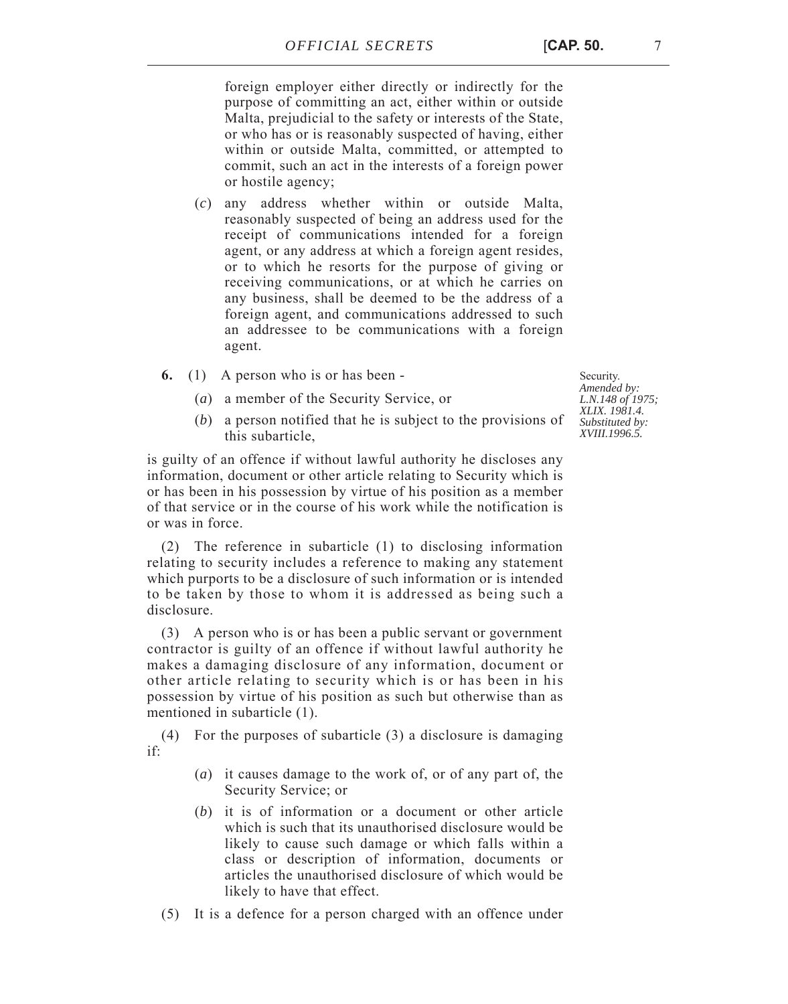foreign employer either directly or indirectly for the purpose of committing an act, either within or outside Malta, prejudicial to the safety or interests of the State, or who has or is reasonably suspected of having, either within or outside Malta, committed, or attempted to commit, such an act in the interests of a foreign power or hostile agency;

- (*c*) any address whether within or outside Malta, reasonably suspected of being an address used for the receipt of communications intended for a foreign agent, or any address at which a foreign agent resides, or to which he resorts for the purpose of giving or receiving communications, or at which he carries on any business, shall be deemed to be the address of a foreign agent, and communications addressed to such an addressee to be communications with a foreign agent.
- **6.** (1) A person who is or has been
	- (*a*) a member of the Security Service, or
	- (*b*) a person notified that he is subject to the provisions of this subarticle,

is guilty of an offence if without lawful authority he discloses any information, document or other article relating to Security which is or has been in his possession by virtue of his position as a member of that service or in the course of his work while the notification is or was in force.

(2) The reference in subarticle (1) to disclosing information relating to security includes a reference to making any statement which purports to be a disclosure of such information or is intended to be taken by those to whom it is addressed as being such a disclosure.

(3) A person who is or has been a public servant or government contractor is guilty of an offence if without lawful authority he makes a damaging disclosure of any information, document or other article relating to security which is or has been in his possession by virtue of his position as such but otherwise than as mentioned in subarticle (1).

(4) For the purposes of subarticle (3) a disclosure is damaging if:

- (*a*) it causes damage to the work of, or of any part of, the Security Service; or
- (*b*) it is of information or a document or other article which is such that its unauthorised disclosure would be likely to cause such damage or which falls within a class or description of information, documents or articles the unauthorised disclosure of which would be likely to have that effect.
- (5) It is a defence for a person charged with an offence under

Security. *Amended by: L.N.148 of 1975; XLIX. 1981.4. Substituted by: XVIII.1996.5.*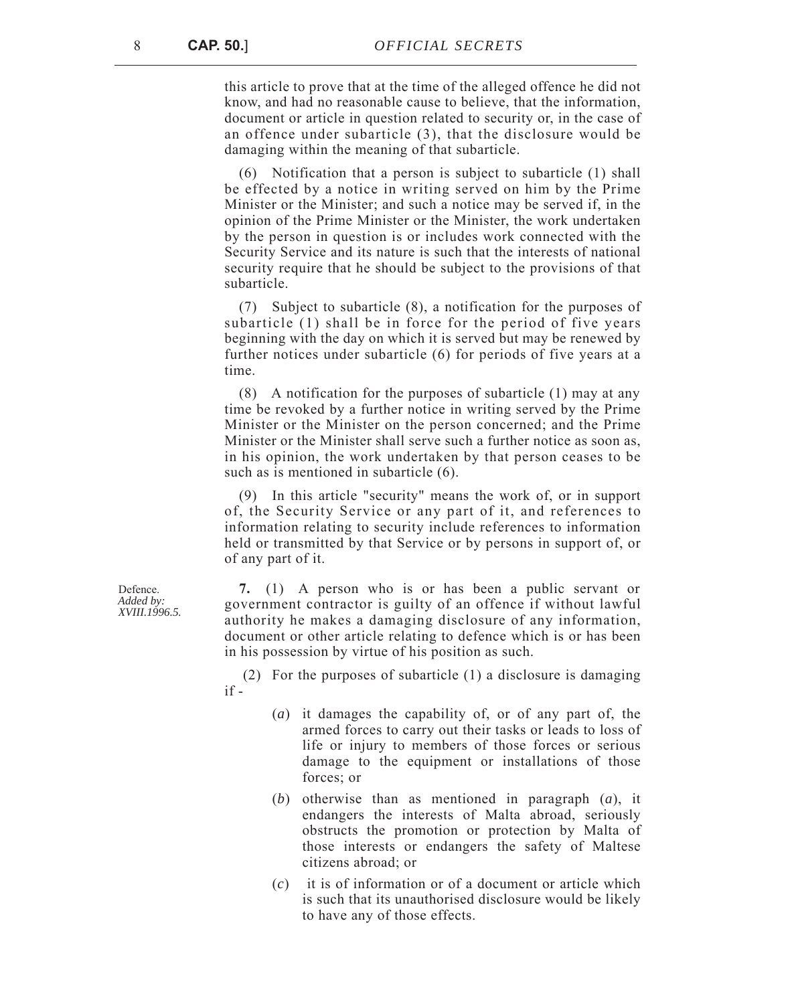this article to prove that at the time of the alleged offence he did not know, and had no reasonable cause to believe, that the information, document or article in question related to security or, in the case of an offence under subarticle (3), that the disclosure would be damaging within the meaning of that subarticle.

(6) Notification that a person is subject to subarticle (1) shall be effected by a notice in writing served on him by the Prime Minister or the Minister; and such a notice may be served if, in the opinion of the Prime Minister or the Minister, the work undertaken by the person in question is or includes work connected with the Security Service and its nature is such that the interests of national security require that he should be subject to the provisions of that subarticle.

(7) Subject to subarticle (8), a notification for the purposes of subarticle (1) shall be in force for the period of five years beginning with the day on which it is served but may be renewed by further notices under subarticle (6) for periods of five years at a time.

(8) A notification for the purposes of subarticle (1) may at any time be revoked by a further notice in writing served by the Prime Minister or the Minister on the person concerned; and the Prime Minister or the Minister shall serve such a further notice as soon as, in his opinion, the work undertaken by that person ceases to be such as is mentioned in subarticle (6).

(9) In this article "security" means the work of, or in support of, the Security Service or any part of it, and references to information relating to security include references to information held or transmitted by that Service or by persons in support of, or of any part of it.

**7.** (1) A person who is or has been a public servant or government contractor is guilty of an offence if without lawful authority he makes a damaging disclosure of any information, document or other article relating to defence which is or has been in his possession by virtue of his position as such.

 (2) For the purposes of subarticle (1) a disclosure is damaging if -

- (*a*) it damages the capability of, or of any part of, the armed forces to carry out their tasks or leads to loss of life or injury to members of those forces or serious damage to the equipment or installations of those forces; or
- (*b*) otherwise than as mentioned in paragraph (*a*), it endangers the interests of Malta abroad, seriously obstructs the promotion or protection by Malta of those interests or endangers the safety of Maltese citizens abroad; or
- (*c*) it is of information or of a document or article which is such that its unauthorised disclosure would be likely to have any of those effects.

Defence. *Added by: XVIII.1996.5.*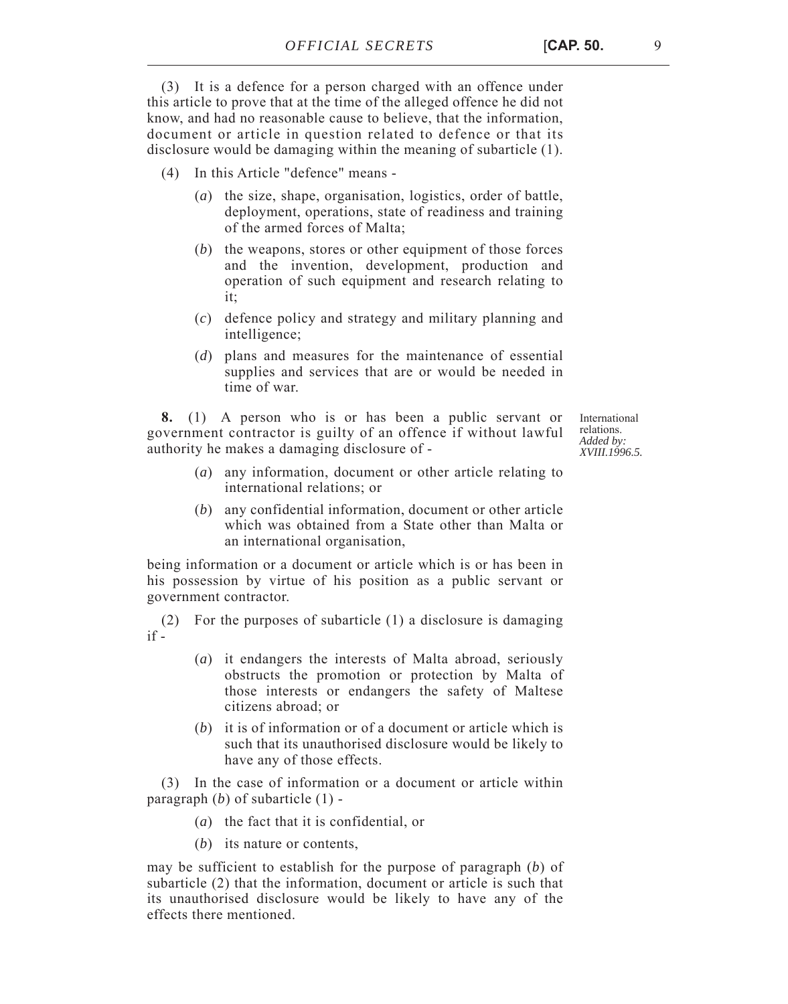(3) It is a defence for a person charged with an offence under this article to prove that at the time of the alleged offence he did not know, and had no reasonable cause to believe, that the information, document or article in question related to defence or that its disclosure would be damaging within the meaning of subarticle (1).

- (4) In this Article "defence" means
	- (*a*) the size, shape, organisation, logistics, order of battle, deployment, operations, state of readiness and training of the armed forces of Malta;
	- (*b*) the weapons, stores or other equipment of those forces and the invention, development, production and operation of such equipment and research relating to it;
	- (*c*) defence policy and strategy and military planning and intelligence;
	- (*d*) plans and measures for the maintenance of essential supplies and services that are or would be needed in time of war.

**8.** (1) A person who is or has been a public servant or government contractor is guilty of an offence if without lawful authority he makes a damaging disclosure of -

International relations. *Added by: XVIII.1996.5.*

- (*a*) any information, document or other article relating to international relations; or
- (*b*) any confidential information, document or other article which was obtained from a State other than Malta or an international organisation,

being information or a document or article which is or has been in his possession by virtue of his position as a public servant or government contractor.

(2) For the purposes of subarticle (1) a disclosure is damaging  $if -$ 

- (*a*) it endangers the interests of Malta abroad, seriously obstructs the promotion or protection by Malta of those interests or endangers the safety of Maltese citizens abroad; or
- (*b*) it is of information or of a document or article which is such that its unauthorised disclosure would be likely to have any of those effects.

(3) In the case of information or a document or article within paragraph (*b*) of subarticle (1) -

- (*a*) the fact that it is confidential, or
- (*b*) its nature or contents,

may be sufficient to establish for the purpose of paragraph (*b*) of subarticle (2) that the information, document or article is such that its unauthorised disclosure would be likely to have any of the effects there mentioned.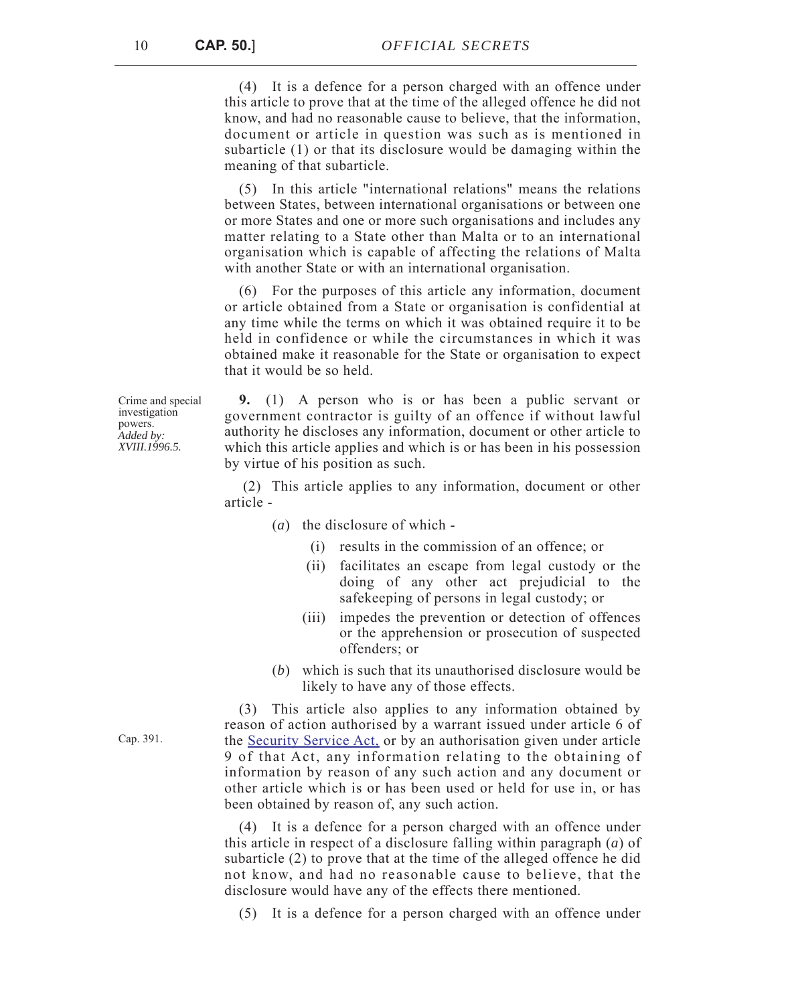(4) It is a defence for a person charged with an offence under this article to prove that at the time of the alleged offence he did not know, and had no reasonable cause to believe, that the information, document or article in question was such as is mentioned in subarticle (1) or that its disclosure would be damaging within the meaning of that subarticle.

(5) In this article "international relations" means the relations between States, between international organisations or between one or more States and one or more such organisations and includes any matter relating to a State other than Malta or to an international organisation which is capable of affecting the relations of Malta with another State or with an international organisation.

(6) For the purposes of this article any information, document or article obtained from a State or organisation is confidential at any time while the terms on which it was obtained require it to be held in confidence or while the circumstances in which it was obtained make it reasonable for the State or organisation to expect that it would be so held.

Crime and special investigation powers. *Added by: XVIII.1996.5.*

**9.** (1) A person who is or has been a public servant or government contractor is guilty of an offence if without lawful authority he discloses any information, document or other article to which this article applies and which is or has been in his possession by virtue of his position as such.

 (2) This article applies to any information, document or other article -

- (*a*) the disclosure of which
	- (i) results in the commission of an offence; or
	- (ii) facilitates an escape from legal custody or the doing of any other act prejudicial to the safekeeping of persons in legal custody; or
	- (iii) impedes the prevention or detection of offences or the apprehension or prosecution of suspected offenders; or
- (*b*) which is such that its unauthorised disclosure would be likely to have any of those effects.

(3) This article also applies to any information obtained by reason of action authorised by a warrant issued under article 6 of the [Security Service Act,](https://legislation.mt/eli/cap/391/eng/pdf) or by an authorisation given under article 9 of that Act, any information relating to the obtaining of information by reason of any such action and any document or other article which is or has been used or held for use in, or has been obtained by reason of, any such action.

(4) It is a defence for a person charged with an offence under this article in respect of a disclosure falling within paragraph (*a*) of subarticle (2) to prove that at the time of the alleged offence he did not know, and had no reasonable cause to believe, that the disclosure would have any of the effects there mentioned.

(5) It is a defence for a person charged with an offence under

Cap. 391.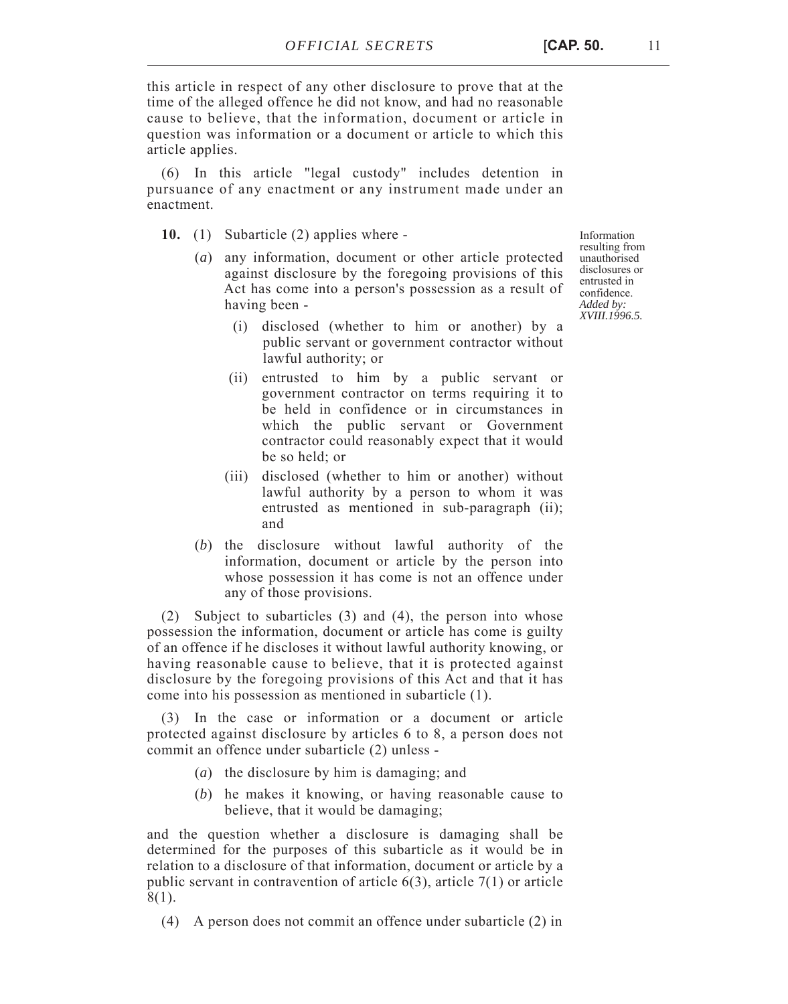this article in respect of any other disclosure to prove that at the time of the alleged offence he did not know, and had no reasonable cause to believe, that the information, document or article in question was information or a document or article to which this article applies.

(6) In this article "legal custody" includes detention in pursuance of any enactment or any instrument made under an enactment.

- **10.** (1) Subarticle (2) applies where
	- (*a*) any information, document or other article protected against disclosure by the foregoing provisions of this Act has come into a person's possession as a result of having been -

Information resulting from unauthorised disclosures or entrusted in confidence. *Added by: XVIII.1996.5.*

- (i) disclosed (whether to him or another) by a public servant or government contractor without lawful authority; or
- (ii) entrusted to him by a public servant or government contractor on terms requiring it to be held in confidence or in circumstances in which the public servant or Government contractor could reasonably expect that it would be so held; or
- (iii) disclosed (whether to him or another) without lawful authority by a person to whom it was entrusted as mentioned in sub-paragraph (ii); and
- (*b*) the disclosure without lawful authority of the information, document or article by the person into whose possession it has come is not an offence under any of those provisions.

(2) Subject to subarticles (3) and (4), the person into whose possession the information, document or article has come is guilty of an offence if he discloses it without lawful authority knowing, or having reasonable cause to believe, that it is protected against disclosure by the foregoing provisions of this Act and that it has come into his possession as mentioned in subarticle (1).

(3) In the case or information or a document or article protected against disclosure by articles 6 to 8, a person does not commit an offence under subarticle (2) unless -

- (*a*) the disclosure by him is damaging; and
- (*b*) he makes it knowing, or having reasonable cause to believe, that it would be damaging;

and the question whether a disclosure is damaging shall be determined for the purposes of this subarticle as it would be in relation to a disclosure of that information, document or article by a public servant in contravention of article 6(3), article 7(1) or article 8(1).

(4) A person does not commit an offence under subarticle (2) in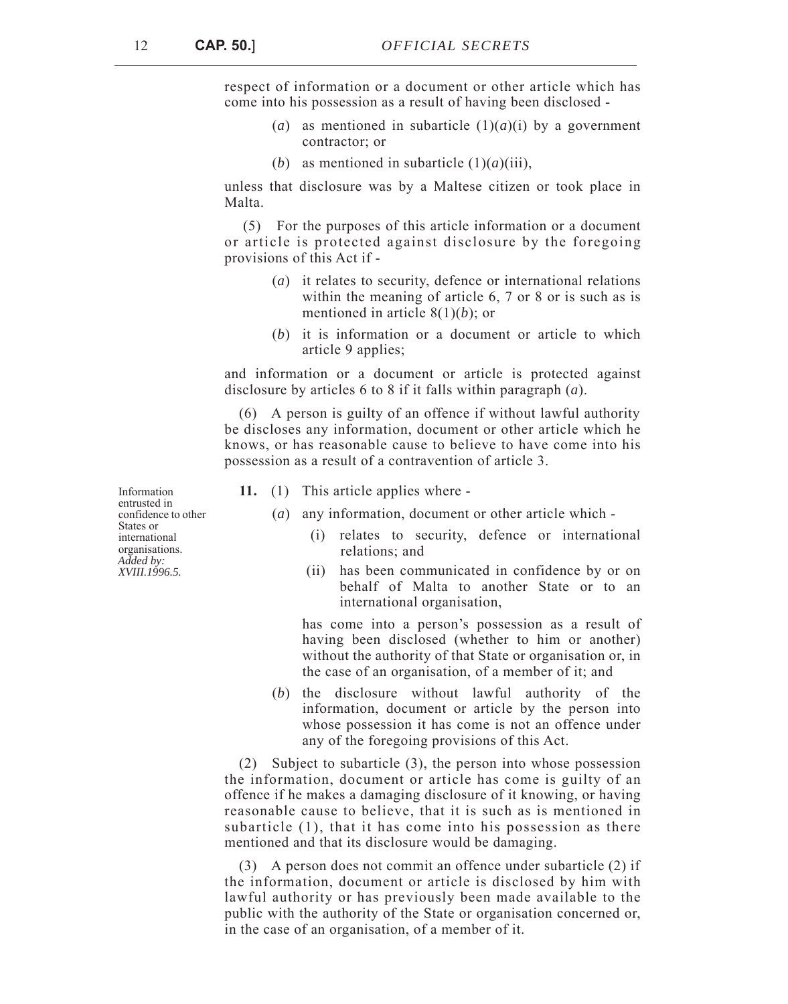respect of information or a document or other article which has come into his possession as a result of having been disclosed -

- (*a*) as mentioned in subarticle  $(1)(a)(i)$  by a government contractor; or
- (*b*) as mentioned in subarticle  $(1)(a)(iii)$ ,

unless that disclosure was by a Maltese citizen or took place in Malta.

 (5) For the purposes of this article information or a document or article is protected against disclosure by the foregoing provisions of this Act if -

- (*a*) it relates to security, defence or international relations within the meaning of article 6, 7 or 8 or is such as is mentioned in article 8(1)(*b*); or
- (*b*) it is information or a document or article to which article 9 applies;

and information or a document or article is protected against disclosure by articles 6 to 8 if it falls within paragraph (*a*).

(6) A person is guilty of an offence if without lawful authority be discloses any information, document or other article which he knows, or has reasonable cause to believe to have come into his possession as a result of a contravention of article 3.

- **11.** (1) This article applies where
	- (*a*) any information, document or other article which
		- (i) relates to security, defence or international relations; and
		- (ii) has been communicated in confidence by or on behalf of Malta to another State or to an international organisation,

 has come into a person's possession as a result of having been disclosed (whether to him or another) without the authority of that State or organisation or, in the case of an organisation, of a member of it; and

(*b*) the disclosure without lawful authority of the information, document or article by the person into whose possession it has come is not an offence under any of the foregoing provisions of this Act.

(2) Subject to subarticle (3), the person into whose possession the information, document or article has come is guilty of an offence if he makes a damaging disclosure of it knowing, or having reasonable cause to believe, that it is such as is mentioned in subarticle (1), that it has come into his possession as there mentioned and that its disclosure would be damaging.

(3) A person does not commit an offence under subarticle (2) if the information, document or article is disclosed by him with lawful authority or has previously been made available to the public with the authority of the State or organisation concerned or, in the case of an organisation, of a member of it.

Information entrusted in confidence to other States or international organisations. *Added by: XVIII.1996.5.*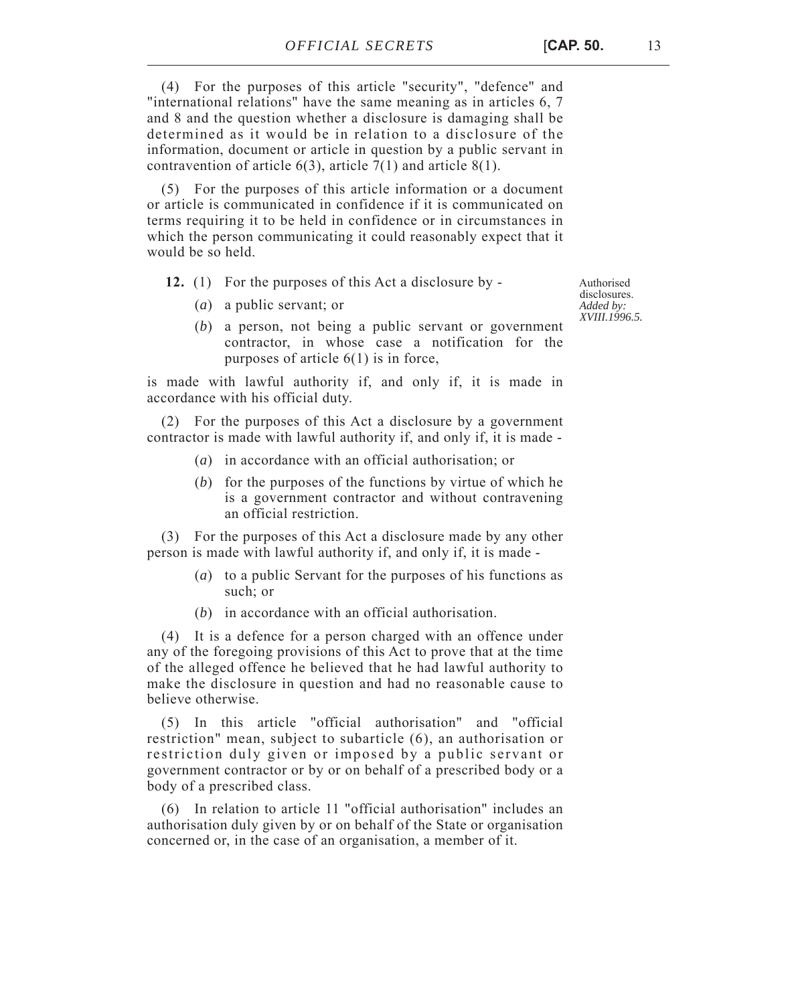(4) For the purposes of this article "security", "defence" and "international relations" have the same meaning as in articles 6, 7 and 8 and the question whether a disclosure is damaging shall be determined as it would be in relation to a disclosure of the information, document or article in question by a public servant in contravention of article  $6(3)$ , article  $7(1)$  and article  $8(1)$ .

(5) For the purposes of this article information or a document or article is communicated in confidence if it is communicated on terms requiring it to be held in confidence or in circumstances in which the person communicating it could reasonably expect that it would be so held.

- **12.** (1) For the purposes of this Act a disclosure by
	- (*a*) a public servant; or
	- (*b*) a person, not being a public servant or government contractor, in whose case a notification for the purposes of article 6(1) is in force,

is made with lawful authority if, and only if, it is made in accordance with his official duty.

(2) For the purposes of this Act a disclosure by a government contractor is made with lawful authority if, and only if, it is made -

- (*a*) in accordance with an official authorisation; or
- (*b*) for the purposes of the functions by virtue of which he is a government contractor and without contravening an official restriction.

(3) For the purposes of this Act a disclosure made by any other person is made with lawful authority if, and only if, it is made -

- (*a*) to a public Servant for the purposes of his functions as such; or
- (*b*) in accordance with an official authorisation.

(4) It is a defence for a person charged with an offence under any of the foregoing provisions of this Act to prove that at the time of the alleged offence he believed that he had lawful authority to make the disclosure in question and had no reasonable cause to believe otherwise.

(5) In this article "official authorisation" and "official restriction" mean, subject to subarticle (6), an authorisation or restriction duly given or imposed by a public servant or government contractor or by or on behalf of a prescribed body or a body of a prescribed class.

(6) In relation to article 11 "official authorisation" includes an authorisation duly given by or on behalf of the State or organisation concerned or, in the case of an organisation, a member of it.

Authorised disclosures. *Added by: XVIII.1996.5.*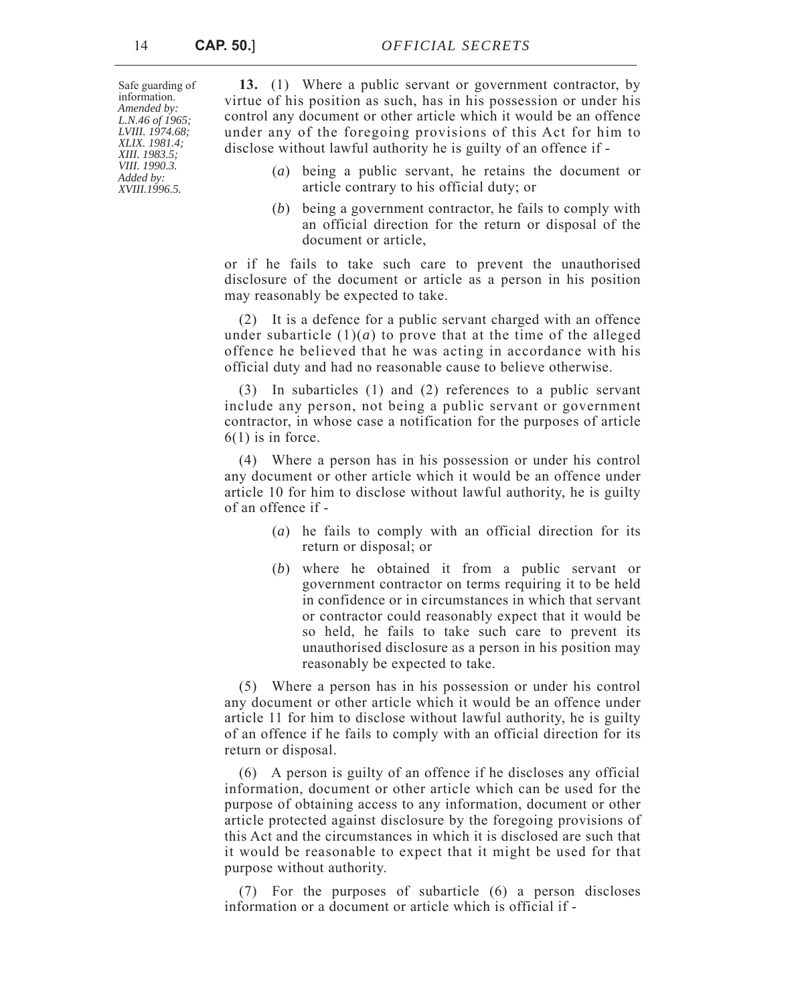Safe guarding of information. *Amended by: L.N.46 of 1965; LVIII. 1974.68; XLIX. 1981.4; XIII. 1983.5; VIII. 1990.3. Added by: XVIII.1996.5.*

**13.** (1) Where a public servant or government contractor, by virtue of his position as such, has in his possession or under his control any document or other article which it would be an offence under any of the foregoing provisions of this Act for him to disclose without lawful authority he is guilty of an offence if -

- (*a*) being a public servant, he retains the document or article contrary to his official duty; or
- (*b*) being a government contractor, he fails to comply with an official direction for the return or disposal of the document or article,

or if he fails to take such care to prevent the unauthorised disclosure of the document or article as a person in his position may reasonably be expected to take.

(2) It is a defence for a public servant charged with an offence under subarticle  $(1)(a)$  to prove that at the time of the alleged offence he believed that he was acting in accordance with his official duty and had no reasonable cause to believe otherwise.

(3) In subarticles (1) and (2) references to a public servant include any person, not being a public servant or government contractor, in whose case a notification for the purposes of article 6(1) is in force.

(4) Where a person has in his possession or under his control any document or other article which it would be an offence under article 10 for him to disclose without lawful authority, he is guilty of an offence if -

- (*a*) he fails to comply with an official direction for its return or disposal; or
- (*b*) where he obtained it from a public servant or government contractor on terms requiring it to be held in confidence or in circumstances in which that servant or contractor could reasonably expect that it would be so held, he fails to take such care to prevent its unauthorised disclosure as a person in his position may reasonably be expected to take.

(5) Where a person has in his possession or under his control any document or other article which it would be an offence under article 11 for him to disclose without lawful authority, he is guilty of an offence if he fails to comply with an official direction for its return or disposal.

(6) A person is guilty of an offence if he discloses any official information, document or other article which can be used for the purpose of obtaining access to any information, document or other article protected against disclosure by the foregoing provisions of this Act and the circumstances in which it is disclosed are such that it would be reasonable to expect that it might be used for that purpose without authority.

(7) For the purposes of subarticle (6) a person discloses information or a document or article which is official if -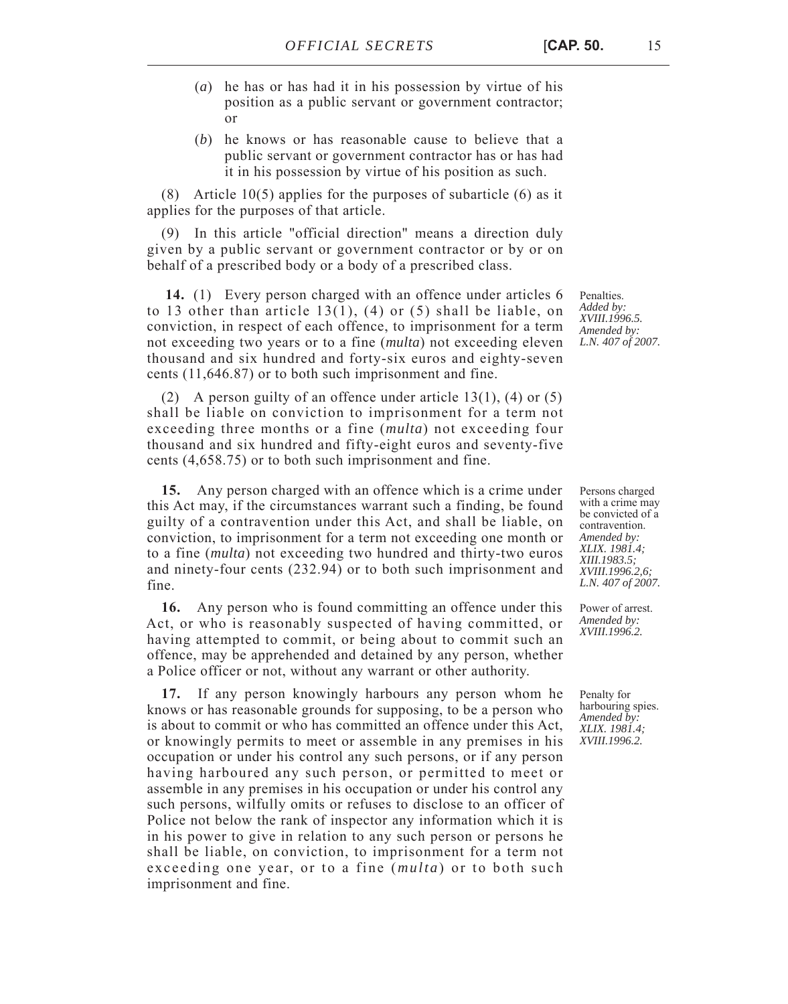- (*a*) he has or has had it in his possession by virtue of his position as a public servant or government contractor; or
- (*b*) he knows or has reasonable cause to believe that a public servant or government contractor has or has had it in his possession by virtue of his position as such.

(8) Article 10(5) applies for the purposes of subarticle (6) as it applies for the purposes of that article.

(9) In this article "official direction" means a direction duly given by a public servant or government contractor or by or on behalf of a prescribed body or a body of a prescribed class.

 **14.** (1) Every person charged with an offence under articles 6 to 13 other than article  $13(1)$ ,  $(4)$  or  $(5)$  shall be liable, on conviction, in respect of each offence, to imprisonment for a term not exceeding two years or to a fine (*multa*) not exceeding eleven thousand and six hundred and forty-six euros and eighty-seven cents (11,646.87) or to both such imprisonment and fine.

(2) A person guilty of an offence under article 13(1), (4) or (5) shall be liable on conviction to imprisonment for a term not exceeding three months or a fine (*multa*) not exceeding four thousand and six hundred and fifty-eight euros and seventy-five cents (4,658.75) or to both such imprisonment and fine.

**15.** Any person charged with an offence which is a crime under this Act may, if the circumstances warrant such a finding, be found guilty of a contravention under this Act, and shall be liable, on conviction, to imprisonment for a term not exceeding one month or to a fine (*multa*) not exceeding two hundred and thirty-two euros and ninety-four cents (232.94) or to both such imprisonment and fine.

**16.** Any person who is found committing an offence under this Act, or who is reasonably suspected of having committed, or having attempted to commit, or being about to commit such an offence, may be apprehended and detained by any person, whether a Police officer or not, without any warrant or other authority.

**17.** If any person knowingly harbours any person whom he knows or has reasonable grounds for supposing, to be a person who is about to commit or who has committed an offence under this Act, or knowingly permits to meet or assemble in any premises in his occupation or under his control any such persons, or if any person having harboured any such person, or permitted to meet or assemble in any premises in his occupation or under his control any such persons, wilfully omits or refuses to disclose to an officer of Police not below the rank of inspector any information which it is in his power to give in relation to any such person or persons he shall be liable, on conviction, to imprisonment for a term not exceeding one year, or to a fine (*multa*) or to both such imprisonment and fine.

**Penalties** *Added by: XVIII.1996.5. Amended by: L.N. 407 of 2007.*

Persons charged with a crime may be convicted of a contravention. *Amended by: XLIX. 1981.4; XIII.1983.5; XVIII.1996.2,6; L.N. 407 of 2007.*

Power of arrest. *Amended by: XVIII.1996.2.*

Penalty for harbouring spies. *Amended by: XLIX. 1981.4; XVIII.1996.2.*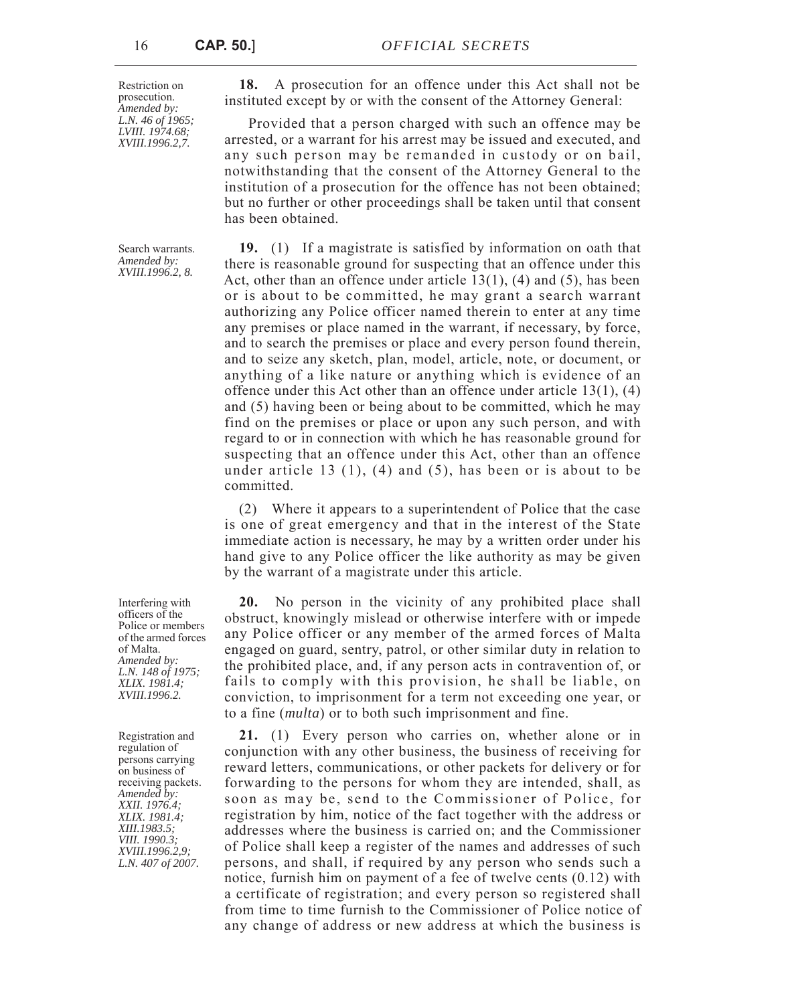Restriction on prosecution. *Amended by: L.N. 46 of 1965; LVIII. 1974.68; XVIII.1996.2,7.*

Search warrants. *Amended by: XVIII.1996.2, 8.*

Interfering with officers of the Police or members of the armed forces of Malta. *Amended by: L.N. 148 of 1975; XLIX. 1981.4;* 

*XVIII.1996.2.*

Registration and regulation of persons carrying on business of receiving packets. *Amended by: XXII. 1976.4; XLIX. 1981.4; XIII.1983.5; VIII. 1990.3; XVIII.1996.2,9; L.N. 407 of 2007.*

**18.** A prosecution for an offence under this Act shall not be instituted except by or with the consent of the Attorney General:

 Provided that a person charged with such an offence may be arrested, or a warrant for his arrest may be issued and executed, and any such person may be remanded in custody or on bail, notwithstanding that the consent of the Attorney General to the institution of a prosecution for the offence has not been obtained; but no further or other proceedings shall be taken until that consent has been obtained.

**19.** (1) If a magistrate is satisfied by information on oath that there is reasonable ground for suspecting that an offence under this Act, other than an offence under article  $13(1)$ ,  $(4)$  and  $(5)$ , has been or is about to be committed, he may grant a search warrant authorizing any Police officer named therein to enter at any time any premises or place named in the warrant, if necessary, by force, and to search the premises or place and every person found therein, and to seize any sketch, plan, model, article, note, or document, or anything of a like nature or anything which is evidence of an offence under this Act other than an offence under article 13(1), (4) and (5) having been or being about to be committed, which he may find on the premises or place or upon any such person, and with regard to or in connection with which he has reasonable ground for suspecting that an offence under this Act, other than an offence under article 13  $(1)$ ,  $(4)$  and  $(5)$ , has been or is about to be committed.

(2) Where it appears to a superintendent of Police that the case is one of great emergency and that in the interest of the State immediate action is necessary, he may by a written order under his hand give to any Police officer the like authority as may be given by the warrant of a magistrate under this article.

**20.** No person in the vicinity of any prohibited place shall obstruct, knowingly mislead or otherwise interfere with or impede any Police officer or any member of the armed forces of Malta engaged on guard, sentry, patrol, or other similar duty in relation to the prohibited place, and, if any person acts in contravention of, or fails to comply with this provision, he shall be liable, on conviction, to imprisonment for a term not exceeding one year, or to a fine (*multa*) or to both such imprisonment and fine.

**21.** (1) Every person who carries on, whether alone or in conjunction with any other business, the business of receiving for reward letters, communications, or other packets for delivery or for forwarding to the persons for whom they are intended, shall, as soon as may be, send to the Commissioner of Police, for registration by him, notice of the fact together with the address or addresses where the business is carried on; and the Commissioner of Police shall keep a register of the names and addresses of such persons, and shall, if required by any person who sends such a notice, furnish him on payment of a fee of twelve cents (0.12) with a certificate of registration; and every person so registered shall from time to time furnish to the Commissioner of Police notice of any change of address or new address at which the business is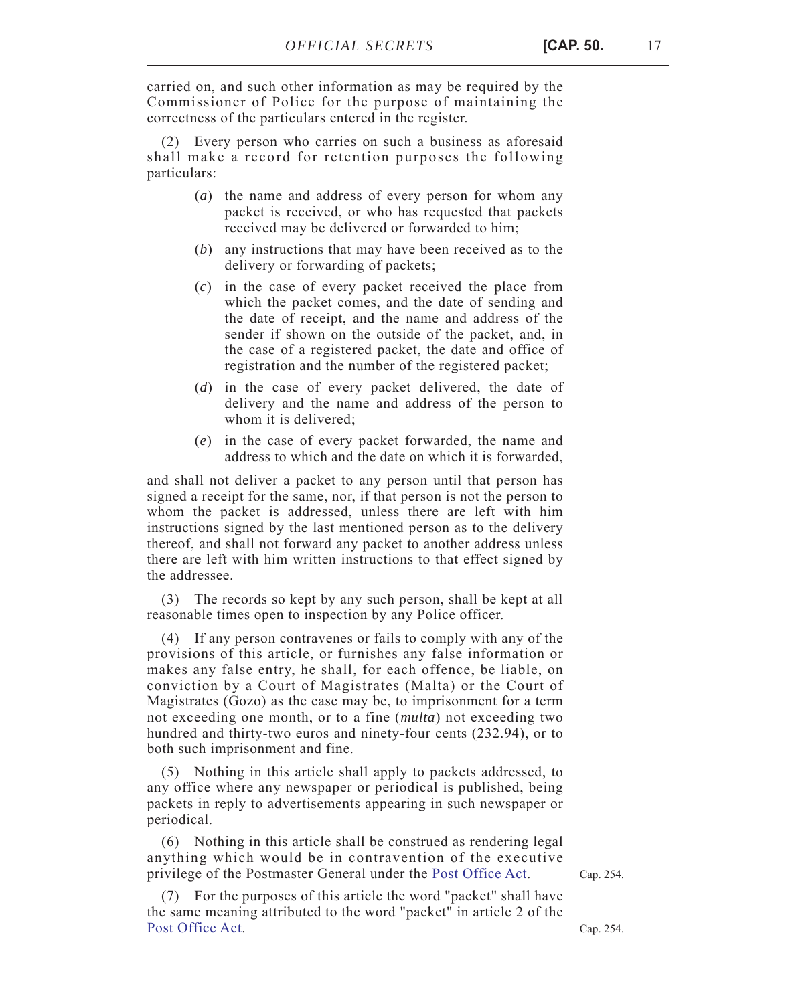carried on, and such other information as may be required by the Commissioner of Police for the purpose of maintaining the correctness of the particulars entered in the register.

(2) Every person who carries on such a business as aforesaid shall make a record for retention purposes the following particulars:

- (*a*) the name and address of every person for whom any packet is received, or who has requested that packets received may be delivered or forwarded to him;
- (*b*) any instructions that may have been received as to the delivery or forwarding of packets;
- (*c*) in the case of every packet received the place from which the packet comes, and the date of sending and the date of receipt, and the name and address of the sender if shown on the outside of the packet, and, in the case of a registered packet, the date and office of registration and the number of the registered packet;
- (*d*) in the case of every packet delivered, the date of delivery and the name and address of the person to whom it is delivered;
- (*e*) in the case of every packet forwarded, the name and address to which and the date on which it is forwarded,

and shall not deliver a packet to any person until that person has signed a receipt for the same, nor, if that person is not the person to whom the packet is addressed, unless there are left with him instructions signed by the last mentioned person as to the delivery thereof, and shall not forward any packet to another address unless there are left with him written instructions to that effect signed by the addressee.

(3) The records so kept by any such person, shall be kept at all reasonable times open to inspection by any Police officer.

(4) If any person contravenes or fails to comply with any of the provisions of this article, or furnishes any false information or makes any false entry, he shall, for each offence, be liable, on conviction by a Court of Magistrates (Malta) or the Court of Magistrates (Gozo) as the case may be, to imprisonment for a term not exceeding one month, or to a fine (*multa*) not exceeding two hundred and thirty-two euros and ninety-four cents (232.94), or to both such imprisonment and fine.

(5) Nothing in this article shall apply to packets addressed, to any office where any newspaper or periodical is published, being packets in reply to advertisements appearing in such newspaper or periodical.

(6) Nothing in this article shall be construed as rendering legal anything which would be in contravention of the executive privilege of the Postmaster General under the <u>Post Office Act</u>.

(7) For the purposes of this article the word "packet" shall have the same meaning attributed to the word "packet" in article 2 of the [Post Office Act](https://legislation.mt/eli/cap/254/eng/pdf).

Cap. 254.

Cap. 254.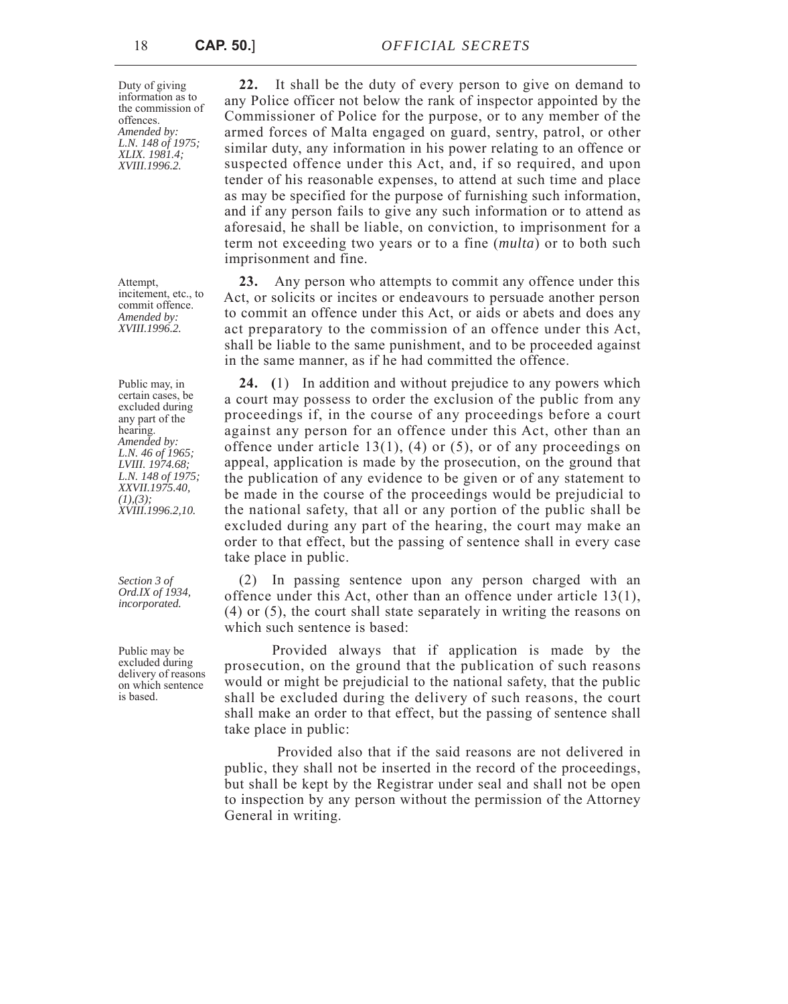Duty of giving information as to the commission of offences. *Amended by: L.N. 148 of 1975; XLIX. 1981.4; XVIII.1996.2.*

Attempt, incitement, etc., to commit offence. *Amended by: XVIII.1996.2.*

Public may, in certain cases, be excluded during any part of the hearing. *Amended by: L.N. 46 of 1965; LVIII. 1974.68; L.N. 148 of 1975; XXVII.1975.40, (1),(3); XVIII.1996.2,10.*

*Section 3 of Ord.IX of 1934, incorporated.*

Public may be excluded during delivery of reasons on which sentence is based.

**22.** It shall be the duty of every person to give on demand to any Police officer not below the rank of inspector appointed by the Commissioner of Police for the purpose, or to any member of the armed forces of Malta engaged on guard, sentry, patrol, or other similar duty, any information in his power relating to an offence or suspected offence under this Act, and, if so required, and upon tender of his reasonable expenses, to attend at such time and place as may be specified for the purpose of furnishing such information, and if any person fails to give any such information or to attend as aforesaid, he shall be liable, on conviction, to imprisonment for a term not exceeding two years or to a fine (*multa*) or to both such imprisonment and fine.

**23.** Any person who attempts to commit any offence under this Act, or solicits or incites or endeavours to persuade another person to commit an offence under this Act, or aids or abets and does any act preparatory to the commission of an offence under this Act, shall be liable to the same punishment, and to be proceeded against in the same manner, as if he had committed the offence.

**24. (**1) In addition and without prejudice to any powers which a court may possess to order the exclusion of the public from any proceedings if, in the course of any proceedings before a court against any person for an offence under this Act, other than an offence under article 13(1), (4) or (5), or of any proceedings on appeal, application is made by the prosecution, on the ground that the publication of any evidence to be given or of any statement to be made in the course of the proceedings would be prejudicial to the national safety, that all or any portion of the public shall be excluded during any part of the hearing, the court may make an order to that effect, but the passing of sentence shall in every case take place in public.

(2) In passing sentence upon any person charged with an offence under this Act, other than an offence under article 13(1), (4) or (5), the court shall state separately in writing the reasons on which such sentence is based:

 Provided always that if application is made by the prosecution, on the ground that the publication of such reasons would or might be prejudicial to the national safety, that the public shall be excluded during the delivery of such reasons, the court shall make an order to that effect, but the passing of sentence shall take place in public:

 Provided also that if the said reasons are not delivered in public, they shall not be inserted in the record of the proceedings, but shall be kept by the Registrar under seal and shall not be open to inspection by any person without the permission of the Attorney General in writing.